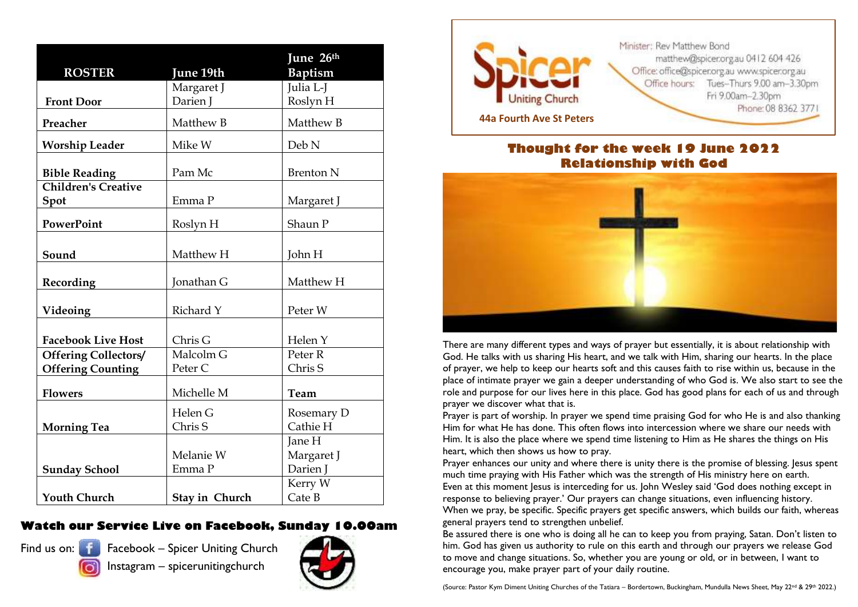| <b>ROSTER</b>                                           | June 19th            | June 26th<br><b>Baptism</b>      |
|---------------------------------------------------------|----------------------|----------------------------------|
|                                                         | Margaret J           | Julia L-J                        |
| <b>Front Door</b>                                       | Darien J             | Roslyn H                         |
| Preacher                                                | Matthew B            | Matthew B                        |
| <b>Worship Leader</b>                                   | Mike W               | Deb N                            |
| <b>Bible Reading</b>                                    | Pam Mc               | <b>Brenton N</b>                 |
| <b>Children's Creative</b><br>Spot                      | Emma P               | Margaret J                       |
| <b>PowerPoint</b>                                       | Roslyn H             | Shaun P                          |
| Sound                                                   | Matthew H            | John H                           |
| Recording                                               | Jonathan G           | Matthew H                        |
| Videoing                                                | Richard Y            | Peter W                          |
| <b>Facebook Live Host</b>                               | Chris G              | Helen Y                          |
| <b>Offering Collectors/</b><br><b>Offering Counting</b> | Malcolm G<br>Peter C | Peter <sub>R</sub><br>Chris S    |
| <b>Flowers</b>                                          | Michelle M           | Team                             |
| <b>Morning Tea</b>                                      | Helen G<br>Chris S   | Rosemary D<br>Cathie H           |
| <b>Sunday School</b>                                    | Melanie W<br>Emma P  | Jane H<br>Margaret J<br>Darien J |
| <b>Youth Church</b>                                     | Stay in Church       | Kerry W<br>Cate B                |

#### **Watch our Service Live on Facebook, Sunday 10.00am**



Find us on: Fig. Facebook – Spicer Uniting Church Instagram – spicerunitingchurch





#### **Thought for the week 19 June 2022 Relationship with God**



There are many different types and ways of prayer but essentially, it is about relationship with God. He talks with us sharing His heart, and we talk with Him, sharing our hearts. In the place of prayer, we help to keep our hearts soft and this causes faith to rise within us, because in the place of intimate prayer we gain a deeper understanding of who God is. We also start to see the role and purpose for our lives here in this place. God has good plans for each of us and through prayer we discover what that is.

Prayer is part of worship. In prayer we spend time praising God for who He is and also thanking Him for what He has done. This often flows into intercession where we share our needs with Him. It is also the place where we spend time listening to Him as He shares the things on His heart, which then shows us how to pray.

Prayer enhances our unity and where there is unity there is the promise of blessing. Jesus spent much time praying with His Father which was the strength of His ministry here on earth. Even at this moment Jesus is interceding for us. John Wesley said 'God does nothing except in response to believing prayer.' Our prayers can change situations, even influencing history. When we pray, be specific. Specific prayers get specific answers, which builds our faith, whereas general prayers tend to strengthen unbelief.

Be assured there is one who is doing all he can to keep you from praying, Satan. Don't listen to him. God has given us authority to rule on this earth and through our prayers we release God to move and change situations. So, whether you are young or old, or in between, I want to encourage you, make prayer part of your daily routine.

(Source: Pastor Kym Diment Uniting Churches of the Tatiara – Bordertown, Buckingham, Mundulla News Sheet, May 22nd & 29th 2022.)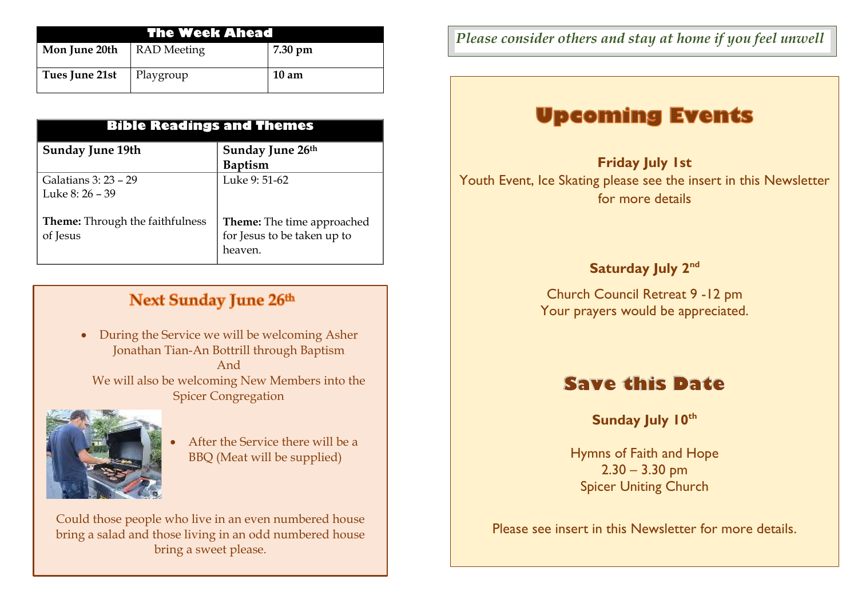| The Week Ahead |                    |                 |  |
|----------------|--------------------|-----------------|--|
| Mon June 20th  | <b>RAD</b> Meeting | 7.30 pm         |  |
| Tues June 21st | Playgroup          | $10 \text{ am}$ |  |

| <b>Bible Readings and Themes</b>                   |                                                                             |  |  |
|----------------------------------------------------|-----------------------------------------------------------------------------|--|--|
| <b>Sunday June 19th</b>                            | Sunday June 26th<br><b>Baptism</b>                                          |  |  |
| Galatians 3: 23 – 29<br>Luke 8: $26 - 39$          | Luke 9: 51-62                                                               |  |  |
| <b>Theme:</b> Through the faithfulness<br>of Jesus | <b>Theme:</b> The time approached<br>for Jesus to be taken up to<br>heaven. |  |  |

### **Next Sunday June 26th**

 During the Service we will be welcoming Asher Jonathan Tian-An Bottrill through Baptism And We will also be welcoming New Members into the Spicer Congregation



 After the Service there will be a BBQ (Meat will be supplied)

Could those people who live in an even numbered house bring a salad and those living in an odd numbered house bring a sweet please.

*Please consider others and stay at home if you feel unwell*

## **Upcoming Events**

**Friday July 1st**  Youth Event, Ice Skating please see the insert in this Newsletter for more details

### **Saturday July 2nd**

Church Council Retreat 9 -12 pm Your prayers would be appreciated.

## **Save this Date**

**Sunday July 10th**

Hymns of Faith and Hope  $2.30 - 3.30$  pm Spicer Uniting Church

Please see insert in this Newsletter for more details.